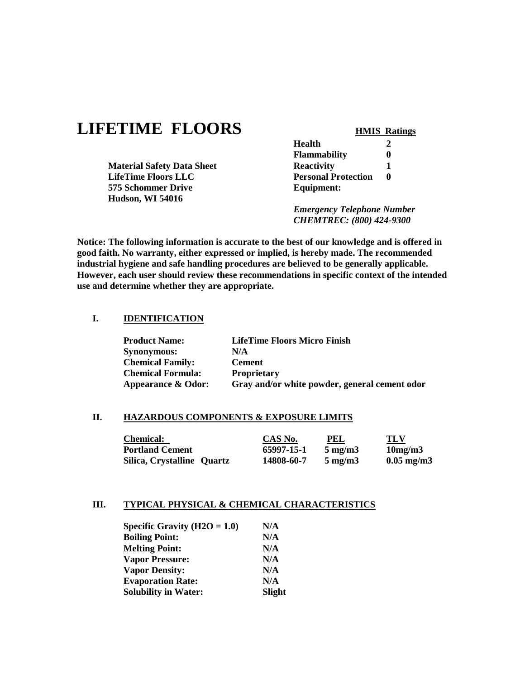# **LIFETIME FLOORS HMIS Ratings**

|                                   | <b>Flammability</b>               |  |
|-----------------------------------|-----------------------------------|--|
| <b>Material Safety Data Sheet</b> | <b>Reactivity</b>                 |  |
| <b>LifeTime Floors LLC</b>        | <b>Personal Protection</b>        |  |
| 575 Schommer Drive                | Equipment:                        |  |
| <b>Hudson, WI 54016</b>           |                                   |  |
|                                   | <b>Emergency Telephone Number</b> |  |

*CHEMTREC: (800) 424-9300*

**Health 2**

**Notice: The following information is accurate to the best of our knowledge and is offered in good faith. No warranty, either expressed or implied, is hereby made. The recommended industrial hygiene and safe handling procedures are believed to be generally applicable. However, each user should review these recommendations in specific context of the intended use and determine whether they are appropriate.**

#### **I. IDENTIFICATION**

| <b>Product Name:</b>          | <b>LifeTime Floors Micro Finish</b>           |
|-------------------------------|-----------------------------------------------|
| <b>Synonymous:</b>            | N/A                                           |
| <b>Chemical Family:</b>       | <b>Cement</b>                                 |
| <b>Chemical Formula:</b>      | <b>Proprietary</b>                            |
| <b>Appearance &amp; Odor:</b> | Gray and/or white powder, general cement odor |

#### **II. HAZARDOUS COMPONENTS & EXPOSURE LIMITS**

| <b>Chemical:</b>           | CAS No.    | PEL              | TLV                 |
|----------------------------|------------|------------------|---------------------|
| <b>Portland Cement</b>     | 65997-15-1 | $5 \text{ mg/m}$ | $10$ mg/m $3$       |
| Silica, Crystalline Quartz | 14808-60-7 | $5 \text{ mg/m}$ | $0.05 \text{ mg/m}$ |

#### **III. TYPICAL PHYSICAL & CHEMICAL CHARACTERISTICS**

| Specific Gravity $(H2O = 1.0)$ | N/A           |
|--------------------------------|---------------|
| <b>Boiling Point:</b>          | N/A           |
| <b>Melting Point:</b>          | N/A           |
| <b>Vapor Pressure:</b>         | N/A           |
| <b>Vapor Density:</b>          | N/A           |
| <b>Evaporation Rate:</b>       | N/A           |
| <b>Solubility in Water:</b>    | <b>Slight</b> |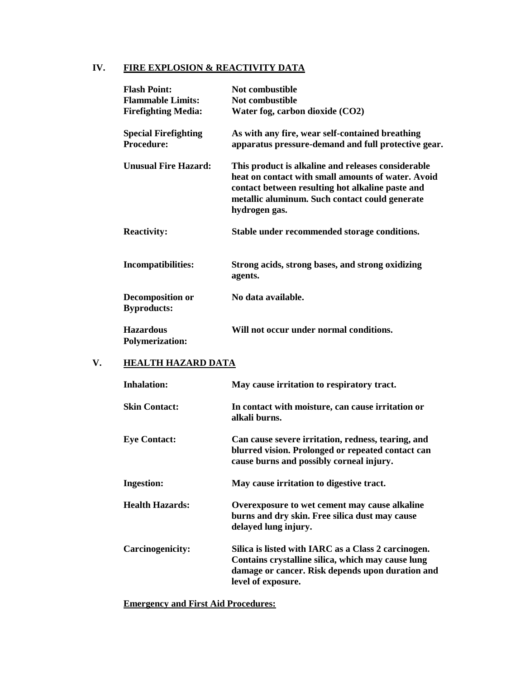# **IV. FIRE EXPLOSION & REACTIVITY DATA**

| <b>Flash Point:</b>                              | Not combustible                                                                                                                                                                                                                 |
|--------------------------------------------------|---------------------------------------------------------------------------------------------------------------------------------------------------------------------------------------------------------------------------------|
| <b>Flammable Limits:</b>                         | Not combustible                                                                                                                                                                                                                 |
| <b>Firefighting Media:</b>                       | Water fog, carbon dioxide (CO2)                                                                                                                                                                                                 |
| <b>Special Firefighting</b><br><b>Procedure:</b> | As with any fire, wear self-contained breathing<br>apparatus pressure-demand and full protective gear.                                                                                                                          |
| <b>Unusual Fire Hazard:</b>                      | This product is alkaline and releases considerable<br>heat on contact with small amounts of water. Avoid<br>contact between resulting hot alkaline paste and<br>metallic aluminum. Such contact could generate<br>hydrogen gas. |
| <b>Reactivity:</b>                               | Stable under recommended storage conditions.                                                                                                                                                                                    |
| <b>Incompatibilities:</b>                        | Strong acids, strong bases, and strong oxidizing<br>agents.                                                                                                                                                                     |
| <b>Decomposition or</b><br><b>Byproducts:</b>    | No data available.                                                                                                                                                                                                              |
| <b>Hazardous</b><br><b>Polymerization:</b>       | Will not occur under normal conditions.                                                                                                                                                                                         |

# **V. HEALTH HAZARD DATA**

| <b>Inhalation:</b>      | May cause irritation to respiratory tract.                                                                                                                                         |
|-------------------------|------------------------------------------------------------------------------------------------------------------------------------------------------------------------------------|
| <b>Skin Contact:</b>    | In contact with moisture, can cause irritation or<br>alkali burns.                                                                                                                 |
| <b>Eye Contact:</b>     | Can cause severe irritation, redness, tearing, and<br>blurred vision. Prolonged or repeated contact can<br>cause burns and possibly corneal injury.                                |
| <b>Ingestion:</b>       | May cause irritation to digestive tract.                                                                                                                                           |
| <b>Health Hazards:</b>  | Overexposure to wet cement may cause alkaline<br>burns and dry skin. Free silica dust may cause<br>delayed lung injury.                                                            |
| <b>Carcinogenicity:</b> | Silica is listed with IARC as a Class 2 carcinogen.<br>Contains crystalline silica, which may cause lung<br>damage or cancer. Risk depends upon duration and<br>level of exposure. |

# **Emergency and First Aid Procedures:**